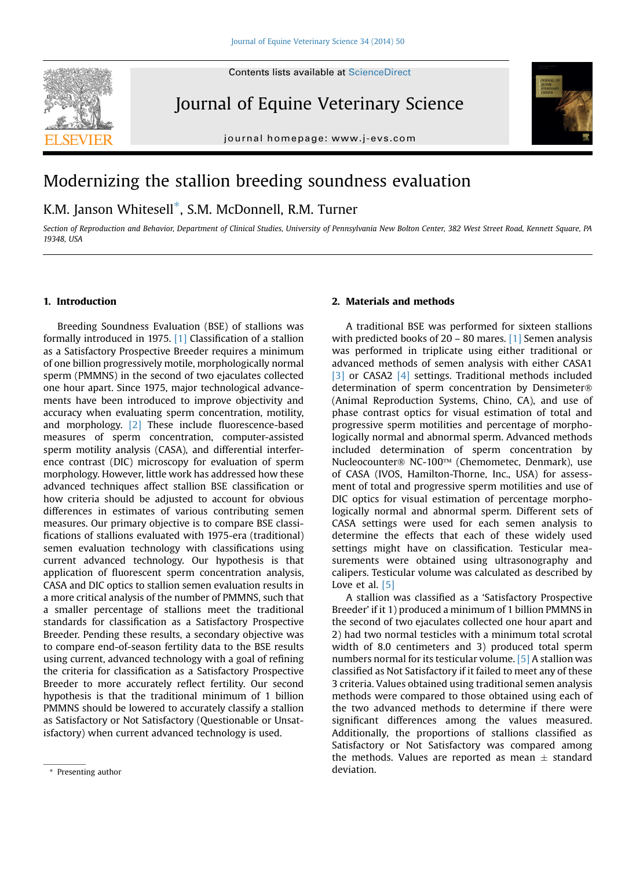

Journal of Equine Veterinary Science

journal homepage: [www.j-evs.com](http://www.j-evs.com)



# Modernizing the stallion breeding soundness evaluation

K.M. Janson Whitesell\*, S.M. McDonnell, R.M. Turner

Section of Reproduction and Behavior, Department of Clinical Studies, University of Pennsylvania New Bolton Center, 382 West Street Road, Kennett Square, PA 19348, USA

### 1. Introduction

Breeding Soundness Evaluation (BSE) of stallions was formally introduced in 1975. [\[1\]](#page-1-0) Classification of a stallion as a Satisfactory Prospective Breeder requires a minimum of one billion progressively motile, morphologically normal sperm (PMMNS) in the second of two ejaculates collected one hour apart. Since 1975, major technological advancements have been introduced to improve objectivity and accuracy when evaluating sperm concentration, motility, and morphology. [\[2\]](#page-1-0) These include fluorescence-based measures of sperm concentration, computer-assisted sperm motility analysis (CASA), and differential interference contrast (DIC) microscopy for evaluation of sperm morphology. However, little work has addressed how these advanced techniques affect stallion BSE classification or how criteria should be adjusted to account for obvious differences in estimates of various contributing semen measures. Our primary objective is to compare BSE classifications of stallions evaluated with 1975-era (traditional) semen evaluation technology with classifications using current advanced technology. Our hypothesis is that application of fluorescent sperm concentration analysis, CASA and DIC optics to stallion semen evaluation results in a more critical analysis of the number of PMMNS, such that a smaller percentage of stallions meet the traditional standards for classification as a Satisfactory Prospective Breeder. Pending these results, a secondary objective was to compare end-of-season fertility data to the BSE results using current, advanced technology with a goal of refining the criteria for classification as a Satisfactory Prospective Breeder to more accurately reflect fertility. Our second hypothesis is that the traditional minimum of 1 billion PMMNS should be lowered to accurately classify a stallion as Satisfactory or Not Satisfactory (Questionable or Unsatisfactory) when current advanced technology is used.

## 2. Materials and methods

A traditional BSE was performed for sixteen stallions with predicted books of 20 – 80 mares. [\[1\]](#page-1-0) Semen analysis was performed in triplicate using either traditional or advanced methods of semen analysis with either CASA1 [\[3\]](#page-1-0) or CASA2 [\[4\]](#page-1-0) settings. Traditional methods included determination of sperm concentration by Densimeter (Animal Reproduction Systems, Chino, CA), and use of phase contrast optics for visual estimation of total and progressive sperm motilities and percentage of morphologically normal and abnormal sperm. Advanced methods included determination of sperm concentration by Nucleocounter<sup>®</sup> NC-100™ (Chemometec, Denmark), use of CASA (IVOS, Hamilton-Thorne, Inc., USA) for assessment of total and progressive sperm motilities and use of DIC optics for visual estimation of percentage morphologically normal and abnormal sperm. Different sets of CASA settings were used for each semen analysis to determine the effects that each of these widely used settings might have on classification. Testicular measurements were obtained using ultrasonography and calipers. Testicular volume was calculated as described by Love et al. [\[5\]](#page-1-0)

A stallion was classified as a 'Satisfactory Prospective Breeder' if it 1) produced a minimum of 1 billion PMMNS in the second of two ejaculates collected one hour apart and 2) had two normal testicles with a minimum total scrotal width of 8.0 centimeters and 3) produced total sperm numbers normal for its testicular volume. [\[5\]](#page-1-0) A stallion was classified as Not Satisfactory if it failed to meet any of these 3 criteria. Values obtained using traditional semen analysis methods were compared to those obtained using each of the two advanced methods to determine if there were significant differences among the values measured. Additionally, the proportions of stallions classified as Satisfactory or Not Satisfactory was compared among the methods. Values are reported as mean  $\pm$  standard deviation.

 $*$  Presenting author